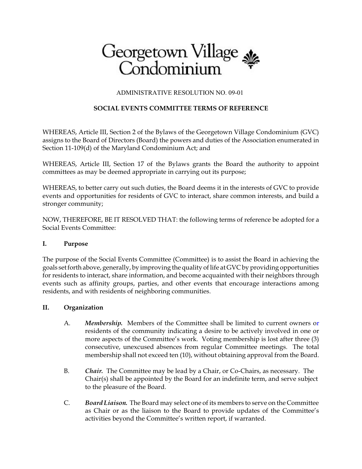# Georgetown Village

## ADMINISTRATIVE RESOLUTION NO. 09-01

# **SOCIAL EVENTS COMMITTEE TERMS OF REFERENCE**

WHEREAS, Article III, Section 2 of the Bylaws of the Georgetown Village Condominium (GVC) assigns to the Board of Directors (Board) the powers and duties of the Association enumerated in Section 11-109(d) of the Maryland Condominium Act; and

WHEREAS, Article III, Section 17 of the Bylaws grants the Board the authority to appoint committees as may be deemed appropriate in carrying out its purpose;

WHEREAS, to better carry out such duties, the Board deems it in the interests of GVC to provide events and opportunities for residents of GVC to interact, share common interests, and build a stronger community;

NOW, THEREFORE, BE IT RESOLVED THAT: the following terms of reference be adopted for a Social Events Committee:

### **I. Purpose**

The purpose of the Social Events Committee (Committee) is to assist the Board in achieving the goals set forth above, generally, by improving the quality of life at GVC by providing opportunities for residents to interact, share information, and become acquainted with their neighbors through events such as affinity groups, parties, and other events that encourage interactions among residents, and with residents of neighboring communities.

### **II. Organization**

- A. *Membership.* Members of the Committee shall be limited to current owners or residents of the community indicating a desire to be actively involved in one or more aspects of the Committee's work. Voting membership is lost after three (3) consecutive, unexcused absences from regular Committee meetings. The total membership shall not exceed ten (10), without obtaining approval from the Board.
- B. *Chair.* The Committee may be lead by a Chair, or Co-Chairs, as necessary. The Chair(s) shall be appointed by the Board for an indefinite term, and serve subject to the pleasure of the Board.
- C. *Board Liaison.* The Board may select one of its members to serve on the Committee as Chair or as the liaison to the Board to provide updates of the Committee's activities beyond the Committee's written report, if warranted.